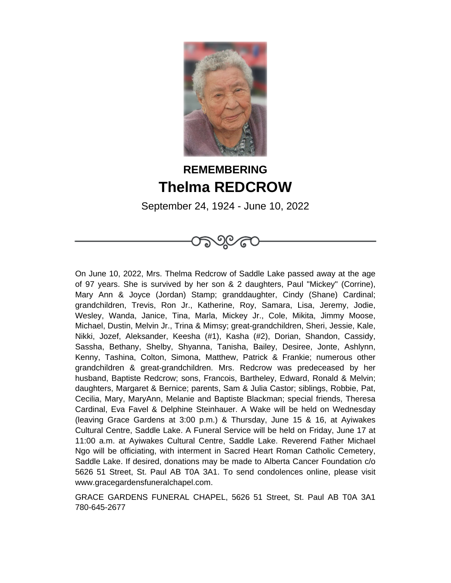

## **REMEMBERING Thelma REDCROW**

September 24, 1924 - June 10, 2022

ාලය

On June 10, 2022, Mrs. Thelma Redcrow of Saddle Lake passed away at the age of 97 years. She is survived by her son & 2 daughters, Paul "Mickey" (Corrine), Mary Ann & Joyce (Jordan) Stamp; granddaughter, Cindy (Shane) Cardinal; grandchildren, Trevis, Ron Jr., Katherine, Roy, Samara, Lisa, Jeremy, Jodie, Wesley, Wanda, Janice, Tina, Marla, Mickey Jr., Cole, Mikita, Jimmy Moose, Michael, Dustin, Melvin Jr., Trina & Mimsy; great-grandchildren, Sheri, Jessie, Kale, Nikki, Jozef, Aleksander, Keesha (#1), Kasha (#2), Dorian, Shandon, Cassidy, Sassha, Bethany, Shelby, Shyanna, Tanisha, Bailey, Desiree, Jonte, Ashlynn, Kenny, Tashina, Colton, Simona, Matthew, Patrick & Frankie; numerous other grandchildren & great-grandchildren. Mrs. Redcrow was predeceased by her husband, Baptiste Redcrow; sons, Francois, Bartheley, Edward, Ronald & Melvin; daughters, Margaret & Bernice; parents, Sam & Julia Castor; siblings, Robbie, Pat, Cecilia, Mary, MaryAnn, Melanie and Baptiste Blackman; special friends, Theresa Cardinal, Eva Favel & Delphine Steinhauer. A Wake will be held on Wednesday (leaving Grace Gardens at 3:00 p.m.) & Thursday, June 15 & 16, at Ayiwakes Cultural Centre, Saddle Lake. A Funeral Service will be held on Friday, June 17 at 11:00 a.m. at Ayiwakes Cultural Centre, Saddle Lake. Reverend Father Michael Ngo will be officiating, with interment in Sacred Heart Roman Catholic Cemetery, Saddle Lake. If desired, donations may be made to Alberta Cancer Foundation c/o 5626 51 Street, St. Paul AB T0A 3A1. To send condolences online, please visit www.gracegardensfuneralchapel.com.

GRACE GARDENS FUNERAL CHAPEL, 5626 51 Street, St. Paul AB T0A 3A1 780-645-2677